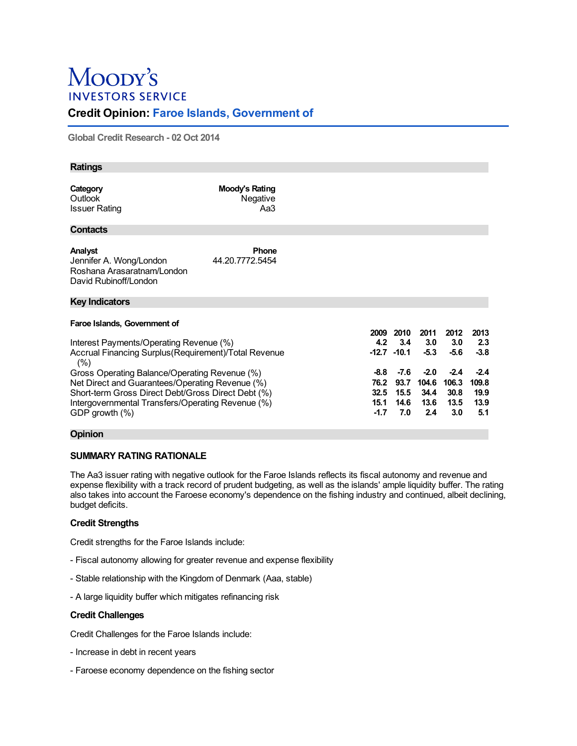# Moopy's **INVESTORS SERVICE**

# **Credit Opinion: Faroe Islands, Government of**

**Global Credit Research - 02Oct 2014**

| <b>Ratings</b>                                                                                                                                                                                              |                                   |  |                                        |                                       |                                        |                                        |                                        |
|-------------------------------------------------------------------------------------------------------------------------------------------------------------------------------------------------------------|-----------------------------------|--|----------------------------------------|---------------------------------------|----------------------------------------|----------------------------------------|----------------------------------------|
| Category<br>Outlook<br><b>Issuer Rating</b>                                                                                                                                                                 | Moody's Rating<br>Negative<br>Aa3 |  |                                        |                                       |                                        |                                        |                                        |
| <b>Contacts</b>                                                                                                                                                                                             |                                   |  |                                        |                                       |                                        |                                        |                                        |
| Analyst<br>Jennifer A. Wong/London<br>Roshana Arasaratnam/London<br>David Rubinoff/London                                                                                                                   | <b>Phone</b><br>44.20.7772.5454   |  |                                        |                                       |                                        |                                        |                                        |
| <b>Key Indicators</b>                                                                                                                                                                                       |                                   |  |                                        |                                       |                                        |                                        |                                        |
| Faroe Islands, Government of                                                                                                                                                                                |                                   |  |                                        |                                       |                                        |                                        |                                        |
| Interest Payments/Operating Revenue (%)<br>Accrual Financing Surplus (Requirement) Total Revenue                                                                                                            |                                   |  | 2009<br>4.2                            | 2010<br>3.4<br>$-12.7 - 10.1$         | 2011<br>3.0<br>$-5.3$                  | 2012<br>3.0<br>$-5.6$                  | 2013<br>2.3<br>$-3.8$                  |
| Gross Operating Balance/Operating Revenue (%)<br>Net Direct and Guarantees/Operating Revenue (%)<br>Short-term Gross Direct Debt/Gross Direct Debt (%)<br>Intergovernmental Transfers/Operating Revenue (%) |                                   |  | -8.8<br>76.2<br>32.5<br>15.1<br>$-1.7$ | $-7.6$<br>93.7<br>15.5<br>14.6<br>7.0 | $-2.0$<br>104.6<br>34.4<br>13.6<br>2.4 | $-2.4$<br>106.3<br>30.8<br>13.5<br>3.0 | $-2.4$<br>109.8<br>19.9<br>13.9<br>5.1 |
| (%)<br>GDP growth $(\% )$                                                                                                                                                                                   |                                   |  |                                        |                                       |                                        |                                        |                                        |

# **Opinion**

# **SUMMARY RATING RATIONALE**

The Aa3 issuer rating with negative outlook for the Faroe Islands reflects its fiscal autonomy and revenue and expense flexibility with a track record of prudent budgeting, as well as the islands' ample liquidity buffer. The rating also takes into account the Faroese economy's dependence on the fishing industry and continued, albeit declining, budget deficits.

# **Credit Strengths**

Credit strengths for the Faroe Islands include:

- Fiscal autonomy allowing for greater revenue and expense flexibility
- Stable relationship with the Kingdom of Denmark (Aaa, stable)
- A large liquidity buffer which mitigates refinancing risk

### **Credit Challenges**

Credit Challenges for the Faroe Islands include:

- Increase in debt in recent years
- Faroese economy dependence on the fishing sector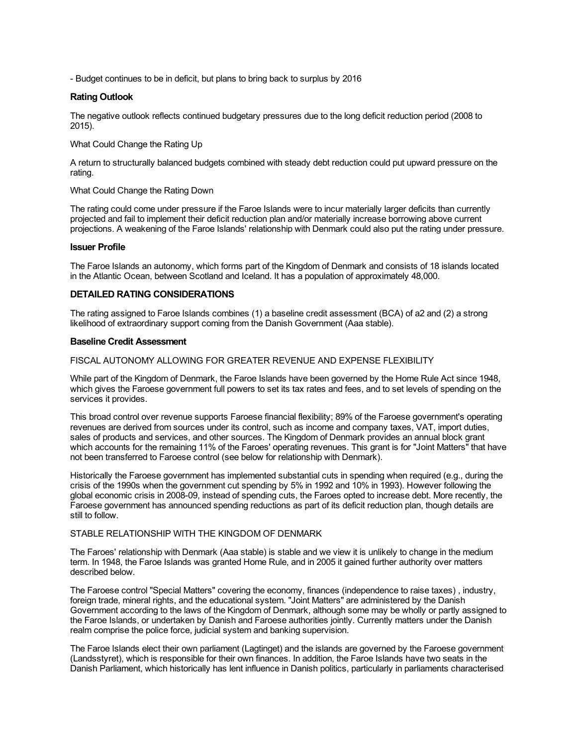- Budget continues to be in deficit, but plans to bring back to surplus by 2016

#### **Rating Outlook**

The negative outlook reflects continued budgetary pressures due to the long deficit reduction period (2008 to 2015).

What Could Change the Rating Up

A return to structurally balanced budgets combined with steady debt reduction could put upward pressure on the rating.

### What Could Change the Rating Down

The rating could come under pressure if the Faroe Islands were to incur materially larger deficits than currently projected and fail to implement their deficit reduction plan and/or materially increase borrowing above current projections. A weakening of the Faroe Islands' relationship with Denmark could also put the rating under pressure.

#### **Issuer Profile**

The Faroe Islands an autonomy, which forms part of the Kingdom of Denmark and consists of 18 islands located in the Atlantic Ocean, between Scotland and Iceland. It has a population of approximately 48,000.

# **DETAILED RATING CONSIDERATIONS**

The rating assigned to Faroe Islands combines (1) a baseline credit assessment (BCA) of a2 and (2) a strong likelihood of extraordinary support coming from the Danish Government (Aaa stable).

#### **Baseline Credit Assessment**

#### FISCAL AUTONOMY ALLOWING FOR GREATER REVENUE AND EXPENSE FLEXIBILITY

While part of the Kingdom of Denmark, the Faroe Islands have been governed by the Home Rule Act since 1948, which gives the Faroese government full powers to set its tax rates and fees, and to set levels of spending on the services it provides.

This broad control over revenue supports Faroese financial flexibility; 89% of the Faroese government's operating revenues are derived from sources under its control, such as income and company taxes, VAT, import duties, sales of products and services, and other sources. The Kingdom of Denmark provides an annual block grant which accounts for the remaining 11% of the Faroes' operating revenues. This grant is for "Joint Matters" that have not been transferred to Faroese control (see below for relationship with Denmark).

Historically the Faroese government has implemented substantial cuts in spending when required (e.g., during the crisis of the 1990s when the government cut spending by 5% in 1992 and 10% in 1993). However following the global economic crisis in 2008-09, instead of spending cuts, the Faroes opted to increase debt. More recently, the Faroese government has announced spending reductions as part of its deficit reduction plan, though details are still to follow.

# STABLE RELATIONSHIP WITH THE KINGDOM OF DENMARK

The Faroes' relationship with Denmark (Aaa stable) is stable and we view it is unlikely to change in the medium term. In 1948, the Faroe Islands was granted Home Rule, and in 2005 it gained further authority over matters described below.

The Faroese control "Special Matters" covering the economy, finances (independence to raise taxes) , industry, foreign trade, mineral rights, and the educational system. "Joint Matters" are administered by the Danish Government according to the laws of the Kingdom of Denmark, although some may be wholly or partly assigned to the Faroe Islands, or undertaken by Danish and Faroese authorities jointly. Currently matters under the Danish realm comprise the police force, judicial system and banking supervision.

The Faroe Islands elect their own parliament (Lagtinget) and the islands are governed by the Faroese government (Landsstyret), which is responsible for their own finances. In addition, the Faroe Islands have two seats in the Danish Parliament, which historically has lent influence in Danish politics, particularly in parliaments characterised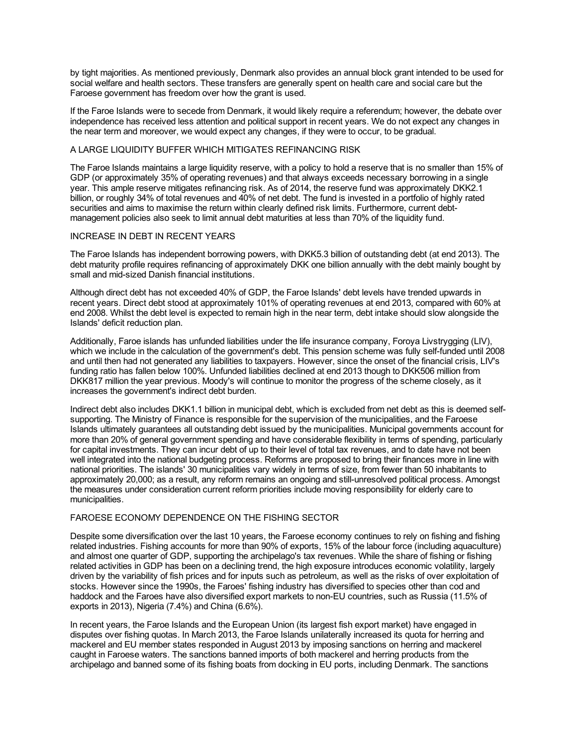by tight majorities. As mentioned previously, Denmark also provides an annual block grant intended to be used for social welfare and health sectors. These transfers are generally spent on health care and social care but the Faroese government has freedom over how the grant is used.

If the Faroe Islands were to secede from Denmark, it would likely require a referendum; however, the debate over independence has received less attention and political support in recent years. We do not expect any changes in the near term and moreover, we would expect any changes, if they were to occur, to be gradual.

### A LARGE LIQUIDITY BUFFER WHICH MITIGATES REFINANCING RISK

The Faroe Islands maintains a large liquidity reserve, with a policy to hold a reserve that is no smaller than 15% of GDP (or approximately 35% of operating revenues) and that always exceeds necessary borrowing in a single year. This ample reserve mitigates refinancing risk. As of 2014, the reserve fund was approximately DKK2.1 billion, or roughly 34% of total revenues and 40% of net debt. The fund is invested in a portfolio of highly rated securities and aims to maximise the return within clearly defined risk limits. Furthermore, current debtmanagement policies also seek to limit annual debt maturities at less than 70% of the liquidity fund.

### INCREASE IN DEBT IN RECENT YEARS

The Faroe Islands has independent borrowing powers, with DKK5.3 billion of outstanding debt (at end 2013). The debt maturity profile requires refinancing of approximately DKK one billion annually with the debt mainly bought by small and mid-sized Danish financial institutions.

Although direct debt has not exceeded 40% of GDP, the Faroe Islands' debt levels have trended upwards in recent years. Direct debt stood at approximately 101% of operating revenues at end 2013, compared with 60% at end 2008. Whilst the debt level is expected to remain high in the near term, debt intake should slow alongside the Islands' deficit reduction plan.

Additionally, Faroe islands has unfunded liabilities under the life insurance company, Foroya Livstrygging (LIV), which we include in the calculation of the government's debt. This pension scheme was fully self-funded until 2008 and until then had not generated any liabilities to taxpayers. However, since the onset of the financial crisis, LIV's funding ratio has fallen below 100%. Unfunded liabilities declined at end 2013 though to DKK506 million from DKK817 million the year previous. Moody's will continue to monitor the progress of the scheme closely, as it increases the government's indirect debt burden.

Indirect debt also includes DKK1.1 billion in municipal debt, which is excluded from net debt as this is deemed selfsupporting. The Ministry of Finance is responsible for the supervision of the municipalities, and the Faroese Islands ultimately guarantees all outstanding debt issued by the municipalities. Municipal governments account for more than 20% of general government spending and have considerable flexibility in terms of spending, particularly for capital investments. They can incur debt of up to their level of total tax revenues, and to date have not been well integrated into the national budgeting process. Reforms are proposed to bring their finances more in line with national priorities. The islands' 30 municipalities vary widely in terms of size, from fewer than 50 inhabitants to approximately 20,000; as a result, any reform remains an ongoing and still-unresolved political process. Amongst the measures under consideration current reform priorities include moving responsibility for elderly care to municipalities.

### FAROESE ECONOMY DEPENDENCE ON THE FISHING SECTOR

Despite some diversification over the last 10 years, the Faroese economy continues to rely on fishing and fishing related industries. Fishing accounts for more than 90% of exports, 15% of the labour force (including aquaculture) and almost one quarter of GDP, supporting the archipelago's tax revenues. While the share of fishing or fishing related activities in GDP has been on a declining trend, the high exposure introduces economic volatility, largely driven by the variability of fish prices and for inputs such as petroleum, as well as the risks of over exploitation of stocks. However since the 1990s, the Faroes' fishing industry has diversified to species other than cod and haddock and the Faroes have also diversified export markets to non-EU countries, such as Russia (11.5% of exports in 2013), Nigeria (7.4%) and China (6.6%).

In recent years, the Faroe Islands and the European Union (its largest fish export market) have engaged in disputes over fishing quotas. In March 2013, the Faroe Islands unilaterally increased its quota for herring and mackerel and EU member states responded in August 2013 by imposing sanctions on herring and mackerel caught in Faroese waters. The sanctions banned imports of both mackerel and herring products from the archipelago and banned some of its fishing boats from docking in EU ports, including Denmark. The sanctions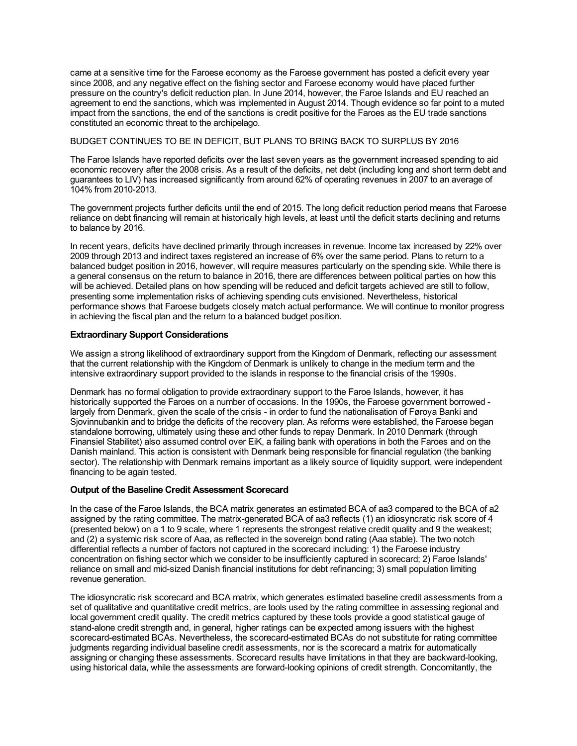came at a sensitive time for the Faroese economy as the Faroese government has posted a deficit every year since 2008, and any negative effect on the fishing sector and Faroese economy would have placed further pressure on the country's deficit reduction plan. In June 2014, however, the Faroe Islands and EU reached an agreement to end the sanctions, which was implemented in August 2014. Though evidence so far point to a muted impact from the sanctions, the end of the sanctions is credit positive for the Faroes as the EU trade sanctions constituted an economic threat to the archipelago.

# BUDGET CONTINUES TO BE IN DEFICIT, BUT PLANS TO BRING BACK TO SURPLUS BY 2016

The Faroe Islands have reported deficits over the last seven years as the government increased spending to aid economic recovery after the 2008 crisis. As a result of the deficits, net debt (including long and short term debt and guarantees to LIV) has increased significantly from around 62% of operating revenues in 2007 to an average of 104% from 2010-2013.

The government projects further deficits until the end of 2015. The long deficit reduction period means that Faroese reliance on debt financing will remain at historically high levels, at least until the deficit starts declining and returns to balance by 2016.

In recent years, deficits have declined primarily through increases in revenue. Income tax increased by 22% over 2009 through 2013 and indirect taxes registered an increase of 6% over the same period. Plans to return to a balanced budget position in 2016, however, will require measures particularly on the spending side. While there is a general consensus on the return to balance in 2016, there are differences between political parties on how this will be achieved. Detailed plans on how spending will be reduced and deficit targets achieved are still to follow, presenting some implementation risks of achieving spending cuts envisioned. Nevertheless, historical performance shows that Faroese budgets closely match actual performance. We will continue to monitor progress in achieving the fiscal plan and the return to a balanced budget position.

# **Extraordinary Support Considerations**

We assign a strong likelihood of extraordinary support from the Kingdom of Denmark, reflecting our assessment that the current relationship with the Kingdom of Denmark is unlikely to change in the medium term and the intensive extraordinary support provided to the islands in response to the financial crisis of the 1990s.

Denmark has no formal obligation to provide extraordinary support to the Faroe Islands, however, it has historically supported the Faroes on a number of occasions. In the 1990s, the Faroese government borrowed largely from Denmark, given the scale of the crisis - in order to fund the nationalisation of Føroya Banki and Sjovinnubankin and to bridge the deficits of the recovery plan. As reforms were established, the Faroese began standalone borrowing, ultimately using these and other funds to repay Denmark. In 2010 Denmark (through Finansiel Stabilitet) also assumed control over EiK, a failing bank with operations in both the Faroes and on the Danish mainland. This action is consistent with Denmark being responsible for financial regulation (the banking sector). The relationship with Denmark remains important as a likely source of liquidity support, were independent financing to be again tested.

### **Output of the Baseline Credit Assessment Scorecard**

In the case of the Faroe Islands, the BCA matrix generates an estimated BCA of aa3 compared to the BCA of a2 assigned by the rating committee. The matrix-generated BCA of aa3 reflects (1) an idiosyncratic risk score of 4 (presented below) on a 1 to 9 scale, where 1 represents the strongest relative credit quality and 9 the weakest; and (2) a systemic risk score of Aaa, as reflected in the sovereign bond rating (Aaa stable). The two notch differential reflects a number of factors not captured in the scorecard including: 1) the Faroese industry concentration on fishing sector which we consider to be insufficiently captured in scorecard; 2) Faroe Islands' reliance on small and mid-sized Danish financial institutions for debt refinancing; 3) small population limiting revenue generation.

The idiosyncratic risk scorecard and BCA matrix, which generates estimated baseline credit assessments from a set of qualitative and quantitative credit metrics, are tools used by the rating committee in assessing regional and local government credit quality. The credit metrics captured by these tools provide a good statistical gauge of stand-alone credit strength and, in general, higher ratings can be expected among issuers with the highest scorecard-estimated BCAs. Nevertheless, the scorecard-estimated BCAs do not substitute for rating committee judgments regarding individual baseline credit assessments, nor is the scorecard a matrix for automatically assigning or changing these assessments. Scorecard results have limitations in that they are backward-looking, using historical data, while the assessments are forward-looking opinions of credit strength. Concomitantly, the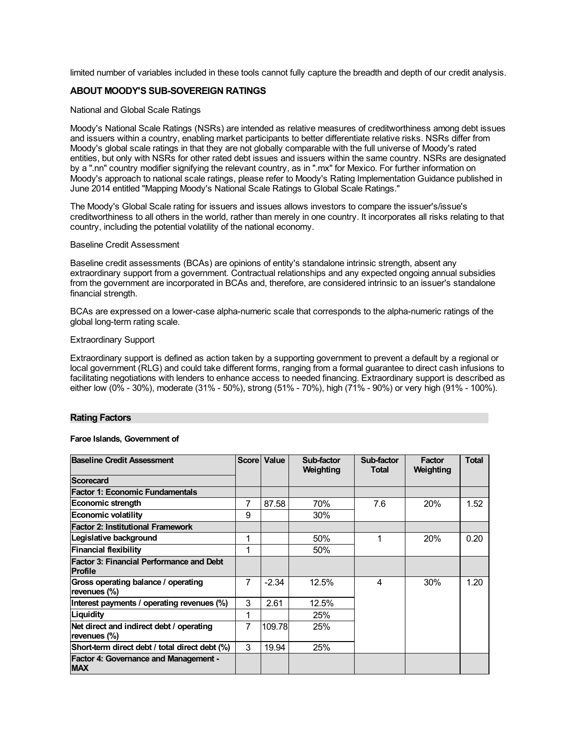limited number of variables included in these tools cannot fully capture the breadth and depth of our credit analysis.

# **ABOUT MOODY'S SUB-SOVEREIGN RATINGS**

#### National and Global Scale Ratings

Moody's National Scale Ratings (NSRs) are intended as relative measures of creditworthiness among debt issues and issuers within a country, enabling market participants to better differentiate relative risks. NSRs differ from Moody's global scale ratings in that they are not globally comparable with the full universe of Moody's rated entities, but only with NSRs for other rated debt issues and issuers within the same country. NSRs are designated by a ".nn" country modifier signifying the relevant country, as in ".mx" for Mexico. For further information on Moody's approach to national scale ratings, please refer to Moody's Rating Implementation Guidance published in June 2014 entitled "Mapping Moody's National Scale Ratings to Global Scale Ratings."

The Moody's Global Scale rating for issuers and issues allows investors to compare the issuer's/issue's creditworthiness to all others in the world, rather than merely in one country. It incorporates all risks relating to that country, including the potential volatility of the national economy.

#### Baseline Credit Assessment

Baseline credit assessments (BCAs) are opinions of entity's standalone intrinsic strength, absent any extraordinary support from a government. Contractual relationships and any expected ongoing annual subsidies from the government are incorporated in BCAs and, therefore, are considered intrinsic to an issuer's standalone financial strength.

BCAs are expressed on a lower-case alpha-numeric scale that corresponds to the alpha-numeric ratings of the global long-term rating scale.

#### Extraordinary Support

Extraordinary support is defined as action taken by a supporting government to prevent a default by a regional or local government (RLG) and could take different forms, ranging from a formal guarantee to direct cash infusions to facilitating negotiations with lenders to enhance access to needed financing. Extraordinary support is described as either low (0% - 30%), moderate (31% - 50%), strong (51% - 70%), high (71% - 90%) or very high (91% - 100%).

#### **Rating Factors**

#### **Faroe Islands, Government of**

| <b>Baseline Credit Assessment</b>                          |                | Score   Value | Sub-factor<br>Weighting | Sub-factor<br><b>Total</b> | Factor<br>Weighting | <b>Total</b> |
|------------------------------------------------------------|----------------|---------------|-------------------------|----------------------------|---------------------|--------------|
| Scorecard                                                  |                |               |                         |                            |                     |              |
| <b>Factor 1: Economic Fundamentals</b>                     |                |               |                         |                            |                     |              |
| Economic strength                                          | 7              | 87.58         | 70%                     | 7.6                        | 20%                 | 1.52         |
| <b>Economic volatility</b>                                 | 9              |               | 30%                     |                            |                     |              |
| <b>Factor 2: Institutional Framework</b>                   |                |               |                         |                            |                     |              |
| Legislative background                                     | 1              |               | 50%                     |                            | 20%                 | 0.20         |
| Financial flexibility                                      | 1              |               | 50%                     |                            |                     |              |
| Factor 3: Financial Performance and Debt<br><b>Profile</b> |                |               |                         |                            |                     |              |
| Gross operating balance / operating<br>revenues (%)        | $\overline{7}$ | $-2.34$       | 12.5%                   | 4                          | 30%                 | 1.20         |
| Interest payments / operating revenues (%)                 | 3              | 2.61          | 12.5%                   |                            |                     |              |
| Liquidity                                                  | 1              |               | 25%                     |                            |                     |              |
| Net direct and indirect debt / operating<br>revenues (%)   | 7              | 109.78        | 25%                     |                            |                     |              |
| Short-term direct debt / total direct debt (%)             | 3              | 19.94         | 25%                     |                            |                     |              |
| <b>Factor 4: Governance and Management -</b><br><b>MAX</b> |                |               |                         |                            |                     |              |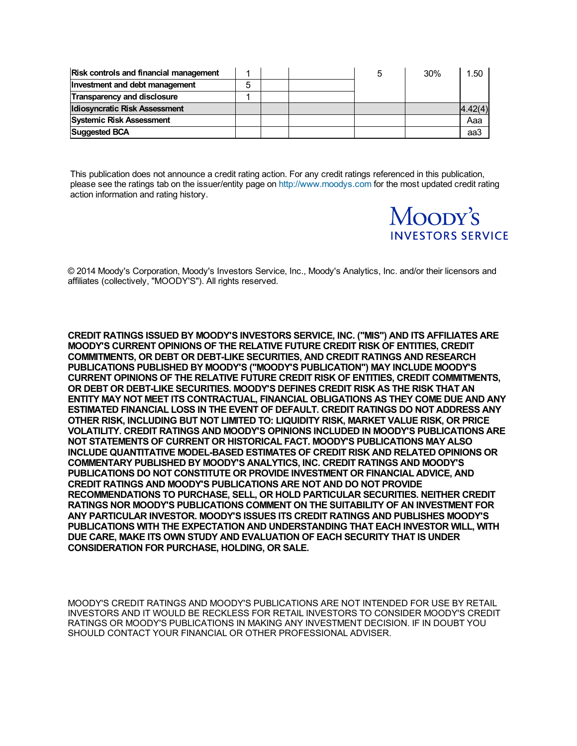| <b>Risk controls and financial management</b> |   |  | 30% | 1.50    |
|-----------------------------------------------|---|--|-----|---------|
| Investment and debt management                | 5 |  |     |         |
| <b>Transparency and disclosure</b>            |   |  |     |         |
| <b>Idiosyncratic Risk Assessment</b>          |   |  |     | 4.42(4) |
| <b>Systemic Risk Assessment</b>               |   |  |     | Aaa     |
| <b>Suggested BCA</b>                          |   |  |     | aa3     |

This publication does not announce a credit rating action. For any credit ratings referenced in this publication, please see the ratings tab on the issuer/entity page on [http://www.moodys.com](http://www.moodys.com/) for the most updated credit rating action information and rating history.

# Moopy's **INVESTORS SERVICE**

© 2014 Moody's Corporation, Moody's Investors Service, Inc., Moody's Analytics, Inc. and/or their licensors and affiliates (collectively, "MOODY'S"). All rights reserved.

**CREDIT RATINGS ISSUED BY MOODY'S INVESTORS SERVICE, INC. ("MIS") AND ITS AFFILIATES ARE MOODY'S CURRENT OPINIONS OF THE RELATIVE FUTURE CREDIT RISK OF ENTITIES, CREDIT COMMITMENTS, OR DEBT OR DEBT-LIKE SECURITIES, AND CREDIT RATINGS AND RESEARCH PUBLICATIONS PUBLISHED BY MOODY'S ("MOODY'S PUBLICATION") MAY INCLUDE MOODY'S CURRENT OPINIONS OF THE RELATIVE FUTURE CREDIT RISK OF ENTITIES, CREDIT COMMITMENTS, OR DEBT OR DEBT-LIKE SECURITIES. MOODY'S DEFINES CREDIT RISK AS THE RISK THAT AN ENTITY MAY NOT MEET ITS CONTRACTUAL, FINANCIAL OBLIGATIONS AS THEY COME DUE AND ANY ESTIMATED FINANCIAL LOSS IN THE EVENT OF DEFAULT. CREDIT RATINGS DO NOT ADDRESS ANY OTHER RISK, INCLUDING BUT NOT LIMITED TO: LIQUIDITY RISK, MARKET VALUE RISK, OR PRICE VOLATILITY. CREDIT RATINGS AND MOODY'S OPINIONS INCLUDED IN MOODY'S PUBLICATIONS ARE NOT STATEMENTS OF CURRENT OR HISTORICAL FACT. MOODY'S PUBLICATIONS MAY ALSO INCLUDE QUANTITATIVE MODEL-BASED ESTIMATES OF CREDIT RISK AND RELATED OPINIONS OR COMMENTARY PUBLISHED BY MOODY'S ANALYTICS, INC. CREDIT RATINGS AND MOODY'S PUBLICATIONS DO NOT CONSTITUTE OR PROVIDE INVESTMENT OR FINANCIAL ADVICE, AND CREDIT RATINGS AND MOODY'S PUBLICATIONS ARE NOT AND DO NOT PROVIDE RECOMMENDATIONS TO PURCHASE, SELL, OR HOLD PARTICULAR SECURITIES. NEITHER CREDIT RATINGS NOR MOODY'S PUBLICATIONS COMMENT ON THE SUITABILITY OF AN INVESTMENT FOR ANY PARTICULAR INVESTOR. MOODY'S ISSUES ITS CREDIT RATINGS AND PUBLISHES MOODY'S PUBLICATIONS WITH THE EXPECTATION AND UNDERSTANDING THAT EACH INVESTOR WILL, WITH DUE CARE, MAKE ITS OWN STUDY AND EVALUATION OF EACH SECURITY THAT IS UNDER CONSIDERATION FOR PURCHASE, HOLDING, OR SALE.**

MOODY'S CREDIT RATINGS AND MOODY'S PUBLICATIONS ARE NOT INTENDED FOR USE BY RETAIL INVESTORS AND IT WOULD BE RECKLESS FOR RETAIL INVESTORS TO CONSIDER MOODY'S CREDIT RATINGS OR MOODY'S PUBLICATIONS IN MAKING ANY INVESTMENT DECISION. IF IN DOUBT YOU SHOULD CONTACT YOUR FINANCIAL OR OTHER PROFESSIONAL ADVISER.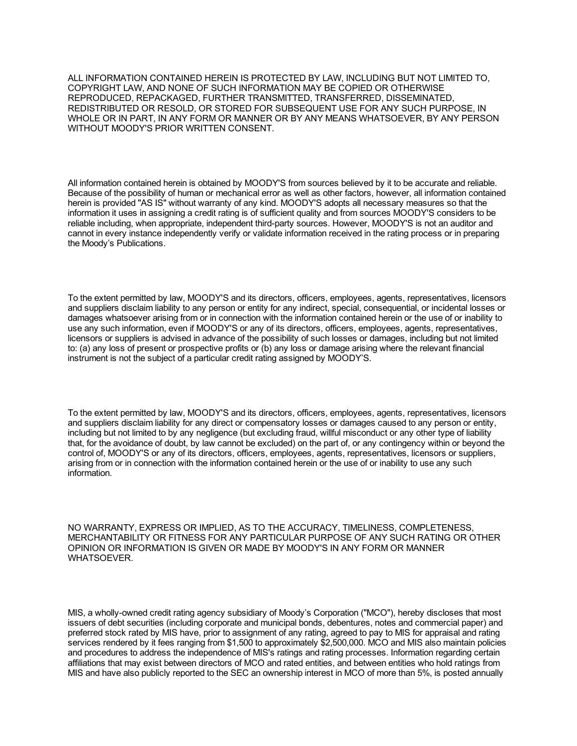ALL INFORMATION CONTAINED HEREIN IS PROTECTED BY LAW, INCLUDING BUT NOT LIMITED TO, COPYRIGHT LAW, AND NONE OF SUCH INFORMATION MAY BE COPIED OR OTHERWISE REPRODUCED, REPACKAGED, FURTHER TRANSMITTED, TRANSFERRED, DISSEMINATED, REDISTRIBUTED OR RESOLD, OR STORED FOR SUBSEQUENT USE FOR ANY SUCH PURPOSE, IN WHOLE OR IN PART, IN ANY FORM OR MANNER OR BY ANY MEANS WHATSOEVER, BY ANY PERSON WITHOUT MOODY'S PRIOR WRITTEN CONSENT.

All information contained herein is obtained by MOODY'S from sources believed by it to be accurate and reliable. Because of the possibility of human or mechanical error as well as other factors, however, all information contained herein is provided "AS IS" without warranty of any kind. MOODY'S adopts all necessary measures so that the information it uses in assigning a credit rating is of sufficient quality and from sources MOODY'S considers to be reliable including, when appropriate, independent third-party sources. However, MOODY'S is not an auditor and cannot in every instance independently verify or validate information received in the rating process or in preparing the Moody's Publications.

To the extent permitted by law, MOODY'S and its directors, officers, employees, agents, representatives, licensors and suppliers disclaim liability to any person or entity for any indirect, special, consequential, or incidental losses or damages whatsoever arising from or in connection with the information contained herein or the use of or inability to use any such information, even if MOODY'S or any of its directors, officers, employees, agents, representatives, licensors or suppliers is advised in advance of the possibility of such losses or damages, including but not limited to: (a) any loss of present or prospective profits or (b) any loss or damage arising where the relevant financial instrument is not the subject of a particular credit rating assigned by MOODY'S.

To the extent permitted by law, MOODY'S and its directors, officers, employees, agents, representatives, licensors and suppliers disclaim liability for any direct or compensatory losses or damages caused to any person or entity, including but not limited to by any negligence (but excluding fraud, willful misconduct or any other type of liability that, for the avoidance of doubt, by law cannot be excluded) on the part of, or any contingency within or beyond the control of, MOODY'S or any of its directors, officers, employees, agents, representatives, licensors or suppliers, arising from or in connection with the information contained herein or the use of or inability to use any such information.

NO WARRANTY, EXPRESS OR IMPLIED, AS TO THE ACCURACY, TIMELINESS, COMPLETENESS, MERCHANTABILITY OR FITNESS FOR ANY PARTICULAR PURPOSE OF ANY SUCH RATING OR OTHER OPINION OR INFORMATION IS GIVEN OR MADE BY MOODY'S IN ANY FORM OR MANNER WHATSOEVER.

MIS, a wholly-owned credit rating agency subsidiary of Moody's Corporation ("MCO"), hereby discloses that most issuers of debt securities (including corporate and municipal bonds, debentures, notes and commercial paper) and preferred stock rated by MIS have, prior to assignment of any rating, agreed to pay to MIS for appraisal and rating services rendered by it fees ranging from \$1,500 to approximately \$2,500,000. MCO and MIS also maintain policies and procedures to address the independence of MIS's ratings and rating processes. Information regarding certain affiliations that may exist between directors of MCO and rated entities, and between entities who hold ratings from MIS and have also publicly reported to the SEC an ownership interest in MCO of more than 5%, is posted annually